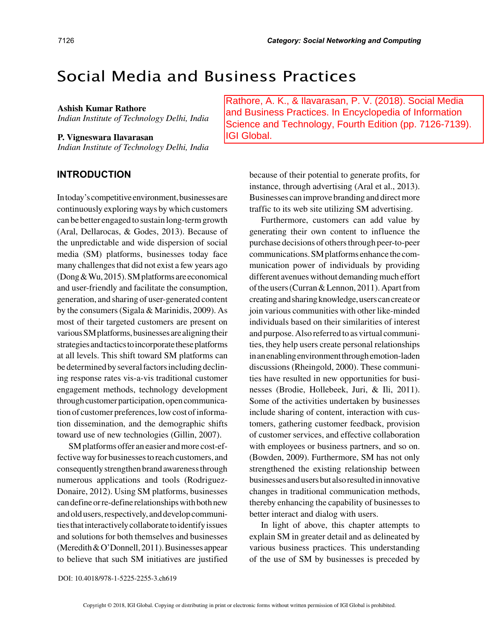# Social Media and Business Practices

**Ashish Kumar Rathore** *Indian Institute of Technology Delhi, India*

**P. Vigneswara Ilavarasan** *Indian Institute of Technology Delhi, India*

**INTRODUCTION** 

In today's competitive environment, businesses are continuously exploring ways by which customers can be better engaged to sustain long-term growth (Aral, Dellarocas, & Godes, 2013). Because of the unpredictable and wide dispersion of social media (SM) platforms, businesses today face many challenges that did not exist a few years ago (Dong & Wu, 2015). SM platforms are economical and user-friendly and facilitate the consumption, generation, and sharing of user-generated content by the consumers (Sigala & Marinidis, 2009). As most of their targeted customers are present on various SM platforms, businesses are aligning their strategies and tactics to incorporate these platforms at all levels. This shift toward SM platforms can be determined by several factors including declining response rates vis-a-vis traditional customer engagement methods, technology development through customer participation, open communication of customer preferences, low cost of information dissemination, and the demographic shifts toward use of new technologies (Gillin, 2007).

SM platforms offer an easier and more cost-effective way for businesses to reach customers, and consequently strengthen brand awareness through numerous applications and tools (Rodriguez-Donaire, 2012). Using SM platforms, businesses can define or re-define relationships with both new and old users, respectively, and develop communities that interactively collaborate to identify issues and solutions for both themselves and businesses (Meredith & O'Donnell, 2011). Businesses appear to believe that such SM initiatives are justified

Rathore, A. K., & Ilavarasan, P. V. (2018). Social Media and Business Practices. In Encyclopedia of Information Science and Technology, Fourth Edition (pp. 7126-7139). IGI Global.

because of their potential to generate profits, for instance, through advertising (Aral et al., 2013). Businesses can improve branding and direct more traffic to its web site utilizing SM advertising.

Furthermore, customers can add value by generating their own content to influence the purchase decisions of others through peer-to-peer communications. SM platforms enhance the communication power of individuals by providing different avenues without demanding much effort of the users (Curran & Lennon, 2011). Apart from creating and sharing knowledge, users can create or join various communities with other like-minded individuals based on their similarities of interest and purpose. Also referred to as virtual communities, they help users create personal relationships in an enabling environment through emotion-laden discussions (Rheingold, 2000). These communities have resulted in new opportunities for businesses (Brodie, Hollebeek, Juri, & Ili, 2011). Some of the activities undertaken by businesses include sharing of content, interaction with customers, gathering customer feedback, provision of customer services, and effective collaboration with employees or business partners, and so on. (Bowden, 2009). Furthermore, SM has not only strengthened the existing relationship between businesses and users but also resulted in innovative changes in traditional communication methods, thereby enhancing the capability of businesses to better interact and dialog with users.

In light of above, this chapter attempts to explain SM in greater detail and as delineated by various business practices. This understanding of the use of SM by businesses is preceded by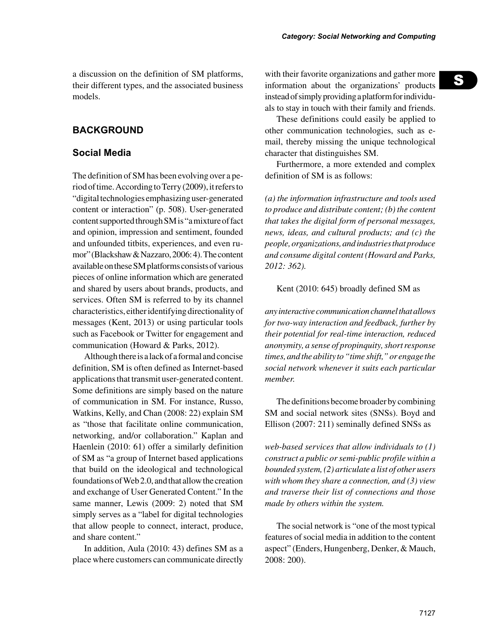a discussion on the definition of SM platforms, their different types, and the associated business models.

### **BACKGROUND**

### **Social Media**

The definition of SM has been evolving over a period of time. According to Terry (2009), it refers to "digital technologies emphasizing user-generated content or interaction" (p. 508). User-generated content supported through SM is "a mixture of fact and opinion, impression and sentiment, founded and unfounded titbits, experiences, and even rumor" (Blackshaw & Nazzaro, 2006: 4). The content available on these SM platforms consists of various pieces of online information which are generated and shared by users about brands, products, and services. Often SM is referred to by its channel characteristics, either identifying directionality of messages (Kent, 2013) or using particular tools such as Facebook or Twitter for engagement and communication (Howard & Parks, 2012).

Although there is a lack of a formal and concise definition, SM is often defined as Internet-based applications that transmit user-generated content. Some definitions are simply based on the nature of communication in SM. For instance, Russo, Watkins, Kelly, and Chan (2008: 22) explain SM as "those that facilitate online communication, networking, and/or collaboration." Kaplan and Haenlein (2010: 61) offer a similarly definition of SM as "a group of Internet based applications that build on the ideological and technological foundations of Web 2.0, and that allow the creation and exchange of User Generated Content." In the same manner, Lewis (2009: 2) noted that SM simply serves as a "label for digital technologies that allow people to connect, interact, produce, and share content."

In addition, Aula (2010: 43) defines SM as a place where customers can communicate directly with their favorite organizations and gather more information about the organizations' products instead of simply providing a platform for individuals to stay in touch with their family and friends.

These definitions could easily be applied to other communication technologies, such as email, thereby missing the unique technological character that distinguishes SM.

Furthermore, a more extended and complex definition of SM is as follows:

*(a) the information infrastructure and tools used to produce and distribute content; (b) the content that takes the digital form of personal messages, news, ideas, and cultural products; and (c) the people, organizations, and industries that produce and consume digital content (Howard and Parks, 2012: 362).*

#### Kent (2010: 645) broadly defined SM as

*any interactive communication channel that allows for two-way interaction and feedback, further by their potential for real-time interaction, reduced anonymity, a sense of propinquity, short response times, and the ability to "time shift," or engage the social network whenever it suits each particular member.*

The definitions become broader by combining SM and social network sites (SNSs). Boyd and Ellison (2007: 211) seminally defined SNSs as

*web-based services that allow individuals to (1) construct a public or semi-public profile within a bounded system, (2) articulate a list of other users with whom they share a connection, and (3) view and traverse their list of connections and those made by others within the system.*

The social network is "one of the most typical features of social media in addition to the content aspect" (Enders, Hungenberg, Denker, & Mauch, 2008: 200).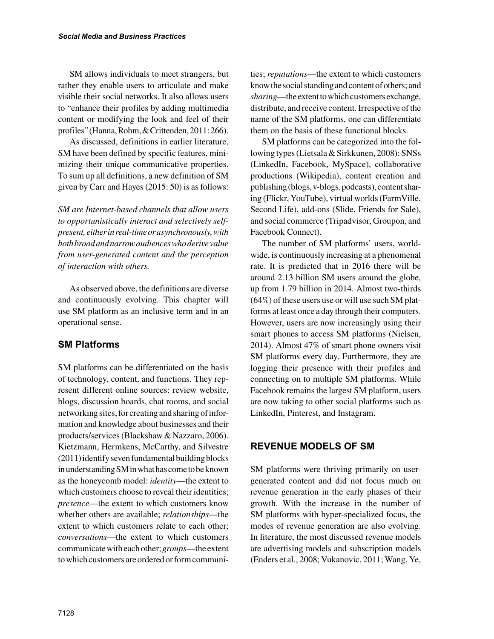SM allows individuals to meet strangers, but rather they enable users to articulate and make visible their social networks. It also allows users to "enhance their profiles by adding multimedia content or modifying the look and feel of their profiles" (Hanna, Rohm, & Crittenden, 2011: 266).

As discussed, definitions in earlier literature, SM have been defined by specific features, minimizing their unique communicative properties. To sum up all definitions, a new definition of SM given by Carr and Hayes (2015: 50) is as follows:

*SM are Internet-based channels that allow users to opportunistically interact and selectively selfpresent, either in real-time or asynchronously, with both broad and narrow audiences who derive value from user-generated content and the perception of interaction with others.*

As observed above, the definitions are diverse and continuously evolving. This chapter will use SM platform as an inclusive term and in an operational sense.

# **SM Platforms**

SM platforms can be differentiated on the basis of technology, content, and functions. They represent different online sources: review website, blogs, discussion boards, chat rooms, and social networking sites, for creating and sharing of information and knowledge about businesses and their products/services (Blackshaw & Nazzaro, 2006). Kietzmann, Hermkens, McCarthy, and Silvestre (2011) identify seven fundamental building blocks in understanding SM in what has come to be known as the honeycomb model: *identity*—the extent to which customers choose to reveal their identities; *presence*—the extent to which customers know whether others are available; *relationships*—the extent to which customers relate to each other; *conversations*—the extent to which customers communicate with each other; *groups*—the extent to which customers are ordered or form communities; *reputations*—the extent to which customers know the social standing and content of others; and *sharing*—the extent to which customers exchange, distribute, and receive content. Irrespective of the name of the SM platforms, one can differentiate them on the basis of these functional blocks.

SM platforms can be categorized into the following types (Lietsala & Sirkkunen, 2008): SNSs (LinkedIn, Facebook, MySpace), collaborative productions (Wikipedia), content creation and publishing (blogs, v-blogs, podcasts), content sharing (Flickr, YouTube), virtual worlds (FarmVille, Second Life), add-ons (Slide, Friends for Sale), and social commerce (Tripadvisor, Groupon, and Facebook Connect).

The number of SM platforms' users, worldwide, is continuously increasing at a phenomenal rate. It is predicted that in 2016 there will be around 2.13 billion SM users around the globe, up from 1.79 billion in 2014. Almost two-thirds (64%) of these users use or will use such SM platforms at least once a day through their computers. However, users are now increasingly using their smart phones to access SM platforms (Nielsen, 2014). Almost 47% of smart phone owners visit SM platforms every day. Furthermore, they are logging their presence with their profiles and connecting on to multiple SM platforms. While Facebook remains the largest SM platform, users are now taking to other social platforms such as LinkedIn, Pinterest, and Instagram.

### **REVENUE MODELS OF SM**

SM platforms were thriving primarily on usergenerated content and did not focus much on revenue generation in the early phases of their growth. With the increase in the number of SM platforms with hyper-specialized focus, the modes of revenue generation are also evolving. In literature, the most discussed revenue models are advertising models and subscription models (Enders et al., 2008; Vukanovic, 2011; Wang, Ye,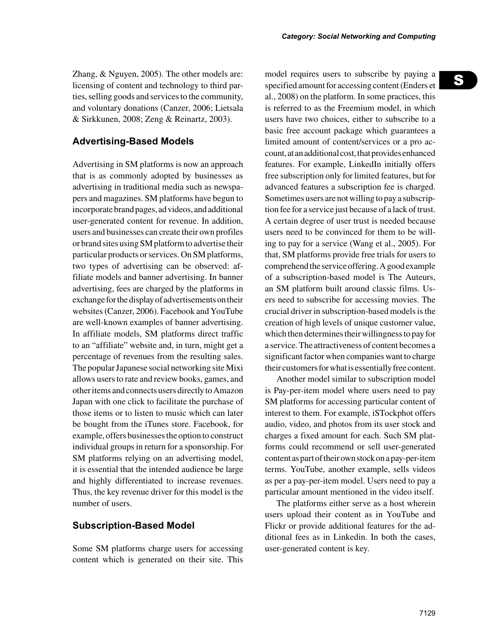Zhang, & Nguyen, 2005). The other models are: licensing of content and technology to third parties, selling goods and services to the community, and voluntary donations (Canzer, 2006; Lietsala & Sirkkunen, 2008; Zeng & Reinartz, 2003).

### **Advertising-Based Models**

Advertising in SM platforms is now an approach that is as commonly adopted by businesses as advertising in traditional media such as newspapers and magazines. SM platforms have begun to incorporate brand pages, ad videos, and additional user-generated content for revenue. In addition, users and businesses can create their own profiles or brand sites using SM platform to advertise their particular products or services. On SM platforms, two types of advertising can be observed: affiliate models and banner advertising. In banner advertising, fees are charged by the platforms in exchange for the display of advertisements on their websites (Canzer, 2006). Facebook and YouTube are well-known examples of banner advertising. In affiliate models, SM platforms direct traffic to an "affiliate" website and, in turn, might get a percentage of revenues from the resulting sales. The popular Japanese social networking site Mixi allows users to rate and review books, games, and other items and connects users directly to Amazon Japan with one click to facilitate the purchase of those items or to listen to music which can later be bought from the iTunes store. Facebook, for example, offers businesses the option to construct individual groups in return for a sponsorship. For SM platforms relying on an advertising model, it is essential that the intended audience be large and highly differentiated to increase revenues. Thus, the key revenue driver for this model is the number of users.

#### **Subscription-Based Model**

Some SM platforms charge users for accessing content which is generated on their site. This model requires users to subscribe by paying a specified amount for accessing content (Enders et al., 2008) on the platform. In some practices, this is referred to as the Freemium model, in which users have two choices, either to subscribe to a basic free account package which guarantees a limited amount of content/services or a pro account, at an additional cost, that provides enhanced features. For example, LinkedIn initially offers free subscription only for limited features, but for advanced features a subscription fee is charged. Sometimes users are not willing to pay a subscription fee for a service just because of a lack of trust. A certain degree of user trust is needed because users need to be convinced for them to be willing to pay for a service (Wang et al., 2005). For that, SM platforms provide free trials for users to comprehend the service offering. A good example of a subscription-based model is The Auteurs, an SM platform built around classic films. Users need to subscribe for accessing movies. The crucial driver in subscription-based models is the creation of high levels of unique customer value, which then determines their willingness to pay for a service. The attractiveness of content becomes a significant factor when companies want to charge their customers for what is essentially free content.

Another model similar to subscription model is Pay-per-item model where users need to pay SM platforms for accessing particular content of interest to them. For example, iSTockphot offers audio, video, and photos from its user stock and charges a fixed amount for each. Such SM platforms could recommend or sell user-generated content as part of their own stock on a pay-per-item terms. YouTube, another example, sells videos as per a pay-per-item model. Users need to pay a particular amount mentioned in the video itself.

The platforms either serve as a host wherein users upload their content as in YouTube and Flickr or provide additional features for the additional fees as in Linkedin. In both the cases, user-generated content is key.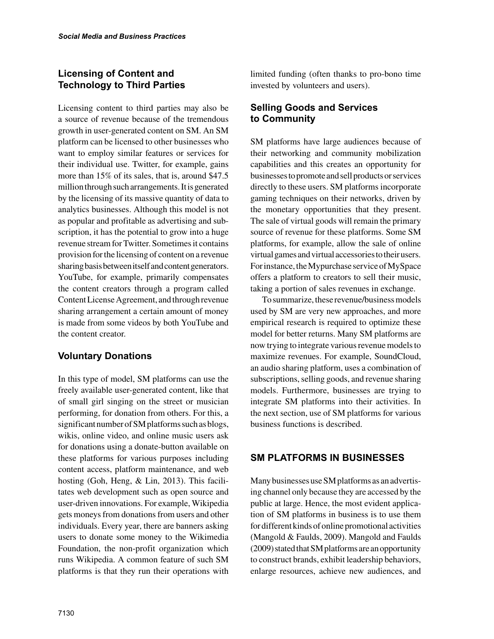# **Licensing of Content and Technology to Third Parties**

Licensing content to third parties may also be a source of revenue because of the tremendous growth in user-generated content on SM. An SM platform can be licensed to other businesses who want to employ similar features or services for their individual use. Twitter, for example, gains more than 15% of its sales, that is, around \$47.5 million through such arrangements. It is generated by the licensing of its massive quantity of data to analytics businesses. Although this model is not as popular and profitable as advertising and subscription, it has the potential to grow into a huge revenue stream for Twitter. Sometimes it contains provision for the licensing of content on a revenue sharing basis between itself and content generators. YouTube, for example, primarily compensates the content creators through a program called Content License Agreement, and through revenue sharing arrangement a certain amount of money is made from some videos by both YouTube and the content creator.

# **Voluntary Donations**

In this type of model, SM platforms can use the freely available user-generated content, like that of small girl singing on the street or musician performing, for donation from others. For this, a significant number of SM platforms such as blogs, wikis, online video, and online music users ask for donations using a donate-button available on these platforms for various purposes including content access, platform maintenance, and web hosting (Goh, Heng, & Lin, 2013). This facilitates web development such as open source and user-driven innovations. For example, Wikipedia gets moneys from donations from users and other individuals. Every year, there are banners asking users to donate some money to the Wikimedia Foundation, the non-profit organization which runs Wikipedia. A common feature of such SM platforms is that they run their operations with limited funding (often thanks to pro-bono time invested by volunteers and users).

# **Selling Goods and Services 7-2** to Community

SM platforms have large audiences because of their networking and community mobilization capabilities and this creates an opportunity for businesses to promote and sell products or services directly to these users. SM platforms incorporate gaming techniques on their networks, driven by the monetary opportunities that they present. The sale of virtual goods will remain the primary source of revenue for these platforms. Some SM platforms, for example, allow the sale of online virtual games and virtual accessories to their users. For instance, the Mypurchase service of MySpace offers a platform to creators to sell their music, taking a portion of sales revenues in exchange.

To summarize, these revenue/business models used by SM are very new approaches, and more empirical research is required to optimize these model for better returns. Many SM platforms are now trying to integrate various revenue models to maximize revenues. For example, SoundCloud, an audio sharing platform, uses a combination of subscriptions, selling goods, and revenue sharing models. Furthermore, businesses are trying to integrate SM platforms into their activities. In the next section, use of SM platforms for various business functions is described.

# **SM PLATFORMS IN BUSINESSES**

Many businesses use SM platforms as an advertising channel only because they are accessed by the public at large. Hence, the most evident application of SM platforms in business is to use them for different kinds of online promotional activities (Mangold & Faulds, 2009). Mangold and Faulds (2009) stated that SM platforms are an opportunity to construct brands, exhibit leadership behaviors, enlarge resources, achieve new audiences, and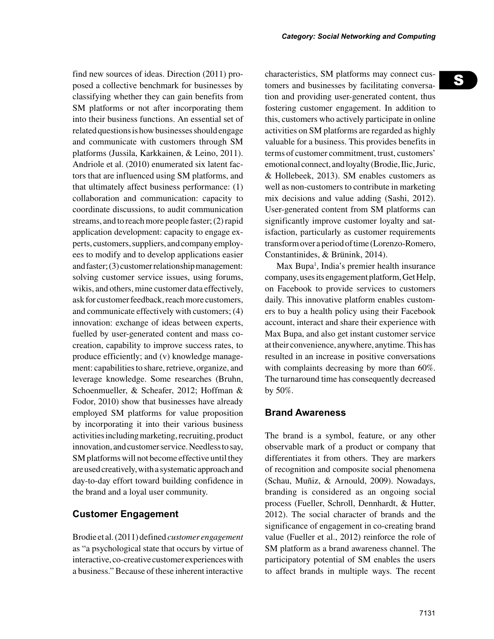find new sources of ideas. Direction (2011) proposed a collective benchmark for businesses by classifying whether they can gain benefits from SM platforms or not after incorporating them into their business functions. An essential set of related questions is how businesses should engage and communicate with customers through SM platforms (Jussila, Karkkainen, & Leino, 2011). Andriole et al. (2010) enumerated six latent factors that are influenced using SM platforms, and that ultimately affect business performance: (1) collaboration and communication: capacity to coordinate discussions, to audit communication streams, and to reach more people faster; (2) rapid application development: capacity to engage experts, customers, suppliers, and company employees to modify and to develop applications easier and faster; (3) customer relationship management: solving customer service issues, using forums, wikis, and others, mine customer data effectively, ask for customer feedback, reach more customers, and communicate effectively with customers; (4) innovation: exchange of ideas between experts, fuelled by user-generated content and mass cocreation, capability to improve success rates, to produce efficiently; and (v) knowledge management: capabilities to share, retrieve, organize, and leverage knowledge. Some researches (Bruhn, Schoenmueller, & Scheafer, 2012; Hoffman & Fodor, 2010) show that businesses have already employed SM platforms for value proposition by incorporating it into their various business activities including marketing, recruiting, product innovation, and customer service. Needless to say, SM platforms will not become effective until they are used creatively, with a systematic approach and day-to-day effort toward building confidence in the brand and a loyal user community.

### **Customer Engagement**

Brodie et al. (2011) defined *customer engagement* as "a psychological state that occurs by virtue of interactive, co-creative customer experiences with a business." Because of these inherent interactive

characteristics, SM platforms may connect customers and businesses by facilitating conversation and providing user-generated content, thus fostering customer engagement. In addition to this, customers who actively participate in online activities on SM platforms are regarded as highly valuable for a business. This provides benefits in terms of customer commitment, trust, customers' emotional connect, and loyalty (Brodie, Ilic, Juric, & Hollebeek, 2013). SM enables customers as well as non-customers to contribute in marketing mix decisions and value adding (Sashi, 2012). User-generated content from SM platforms can significantly improve customer loyalty and satisfaction, particularly as customer requirements transform over a period of time (Lorenzo-Romero, Constantinides, & Brünink, 2014).

Max Bupa<sup>1</sup>, India's premier health insurance company, uses its engagement platform, Get Help, on Facebook to provide services to customers daily. This innovative platform enables customers to buy a health policy using their Facebook account, interact and share their experience with Max Bupa, and also get instant customer service at their convenience, anywhere, anytime. This has resulted in an increase in positive conversations with complaints decreasing by more than 60%. The turnaround time has consequently decreased by 50%.

### **Brand Awareness**

The brand is a symbol, feature, or any other observable mark of a product or company that differentiates it from others. They are markers of recognition and composite social phenomena (Schau, Muñiz, & Arnould, 2009). Nowadays, branding is considered as an ongoing social process (Fueller, Schroll, Dennhardt, & Hutter, 2012). The social character of brands and the significance of engagement in co-creating brand value (Fueller et al., 2012) reinforce the role of SM platform as a brand awareness channel. The participatory potential of SM enables the users to affect brands in multiple ways. The recent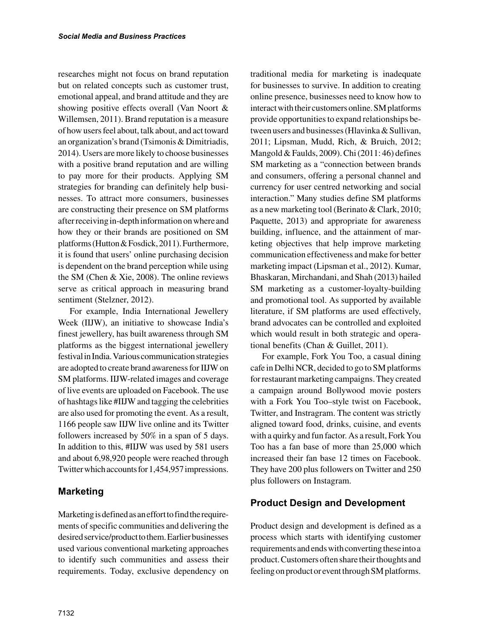researches might not focus on brand reputation but on related concepts such as customer trust, emotional appeal, and brand attitude and they are showing positive effects overall (Van Noort & Willemsen, 2011). Brand reputation is a measure of how users feel about, talk about, and act toward an organization's brand (Tsimonis & Dimitriadis, 2014). Users are more likely to choose businesses with a positive brand reputation and are willing to pay more for their products. Applying SM strategies for branding can definitely help businesses. To attract more consumers, businesses are constructing their presence on SM platforms after receiving in-depth information on where and how they or their brands are positioned on SM platforms (Hutton & Fosdick, 2011). Furthermore, it is found that users' online purchasing decision is dependent on the brand perception while using the SM (Chen & Xie, 2008). The online reviews serve as critical approach in measuring brand sentiment (Stelzner, 2012).

For example, India International Jewellery Week (IIJW), an initiative to showcase India's finest jewellery, has built awareness through SM platforms as the biggest international jewellery festival in India. Various communication strategies are adopted to create brand awareness for IIJW on SM platforms. IIJW-related images and coverage of live events are uploaded on Facebook. The use of hashtags like #IIJW and tagging the celebrities are also used for promoting the event. As a result, 1166 people saw IIJW live online and its Twitter followers increased by 50% in a span of 5 days. In addition to this, #IIJW was used by 581 users and about 6,98,920 people were reached through Twitter which accounts for 1,454,957 impressions.

### **Marketing**

Marketing is defined as an effort to find the requirements of specific communities and delivering the desired service/product to them. Earlier businesses used various conventional marketing approaches to identify such communities and assess their requirements. Today, exclusive dependency on traditional media for marketing is inadequate for businesses to survive. In addition to creating online presence, businesses need to know how to interact with their customers online. SM platforms provide opportunities to expand relationships between users and businesses (Hlavinka & Sullivan, 2011; Lipsman, Mudd, Rich, & Bruich, 2012; Mangold & Faulds, 2009). Chi (2011: 46) defines SM marketing as a "connection between brands and consumers, offering a personal channel and currency for user centred networking and social interaction." Many studies define SM platforms as a new marketing tool (Berinato & Clark, 2010; Paquette, 2013) and appropriate for awareness building, influence, and the attainment of marketing objectives that help improve marketing communication effectiveness and make for better marketing impact (Lipsman et al., 2012). Kumar, Bhaskaran, Mirchandani, and Shah (2013) hailed SM marketing as a customer-loyalty-building and promotional tool. As supported by available literature, if SM platforms are used effectively, brand advocates can be controlled and exploited which would result in both strategic and operational benefits (Chan & Guillet, 2011).

For example, Fork You Too, a casual dining cafe in Delhi NCR, decided to go to SM platforms for restaurant marketing campaigns. They created a campaign around Bollywood movie posters with a Fork You Too–style twist on Facebook, Twitter, and Instragram. The content was strictly aligned toward food, drinks, cuisine, and events with a quirky and fun factor. As a result, Fork You Too has a fan base of more than 25,000 which increased their fan base 12 times on Facebook. They have 200 plus followers on Twitter and 250 plus followers on Instagram.

# **Product Design and Development**

Product design and development is defined as a process which starts with identifying customer requirements and ends with converting these into a product. Customers often share their thoughts and feeling on product or event through SM platforms.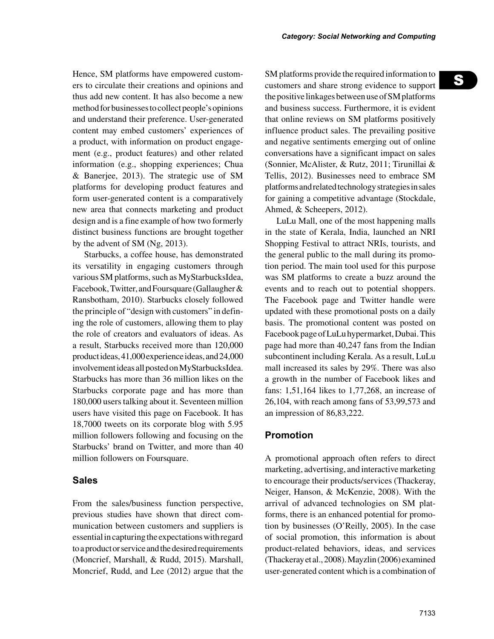Hence, SM platforms have empowered customers to circulate their creations and opinions and thus add new content. It has also become a new method for businesses to collect people's opinions and understand their preference. User-generated content may embed customers' experiences of a product, with information on product engage-

ment (e.g., product features) and other related information (e.g., shopping experiences; Chua & Banerjee, 2013). The strategic use of SM platforms for developing product features and form user-generated content is a comparatively new area that connects marketing and product design and is a fine example of how two formerly distinct business functions are brought together by the advent of SM (Ng, 2013).

Starbucks, a coffee house, has demonstrated its versatility in engaging customers through various SM platforms, such as MyStarbucksIdea, Facebook, Twitter, and Foursquare (Gallaugher & Ransbotham, 2010). Starbucks closely followed the principle of "design with customers" in defining the role of customers, allowing them to play the role of creators and evaluators of ideas. As a result, Starbucks received more than 120,000 product ideas, 41,000 experience ideas, and 24,000 involvement ideas all posted on MyStarbucksIdea. Starbucks has more than 36 million likes on the Starbucks corporate page and has more than 180,000 users talking about it. Seventeen million users have visited this page on Facebook. It has 18,7000 tweets on its corporate blog with 5.95 million followers following and focusing on the Starbucks' brand on Twitter, and more than 40 million followers on Foursquare.

#### Sales

From the sales/business function perspective, previous studies have shown that direct communication between customers and suppliers is essential in capturing the expectations with regard to a product or service and the desired requirements (Moncrief, Marshall, & Rudd, 2015). Marshall, Moncrief, Rudd, and Lee (2012) argue that the SM platforms provide the required information to customers and share strong evidence to support the positive linkages between use of SM platforms and business success. Furthermore, it is evident that online reviews on SM platforms positively influence product sales. The prevailing positive and negative sentiments emerging out of online conversations have a significant impact on sales (Sonnier, McAlister, & Rutz, 2011; Tirunillai & Tellis, 2012). Businesses need to embrace SM platforms and related technology strategies in sales for gaining a competitive advantage (Stockdale, Ahmed, & Scheepers, 2012).

LuLu Mall, one of the most happening malls in the state of Kerala, India, launched an NRI Shopping Festival to attract NRIs, tourists, and the general public to the mall during its promotion period. The main tool used for this purpose was SM platforms to create a buzz around the events and to reach out to potential shoppers. The Facebook page and Twitter handle were updated with these promotional posts on a daily basis. The promotional content was posted on Facebook page of LuLu hypermarket, Dubai. This page had more than 40,247 fans from the Indian subcontinent including Kerala. As a result, LuLu mall increased its sales by 29%. There was also a growth in the number of Facebook likes and fans: 1,51,164 likes to 1,77,268, an increase of 26,104, with reach among fans of 53,99,573 and an impression of 86,83,222.

#### **Promotion**

A promotional approach often refers to direct marketing, advertising, and interactive marketing to encourage their products/services (Thackeray, Neiger, Hanson, & McKenzie, 2008). With the arrival of advanced technologies on SM platforms, there is an enhanced potential for promotion by businesses (O'Reilly, 2005). In the case of social promotion, this information is about product-related behaviors, ideas, and services (Thackeray et al., 2008). Mayzlin (2006) examined user-generated content which is a combination of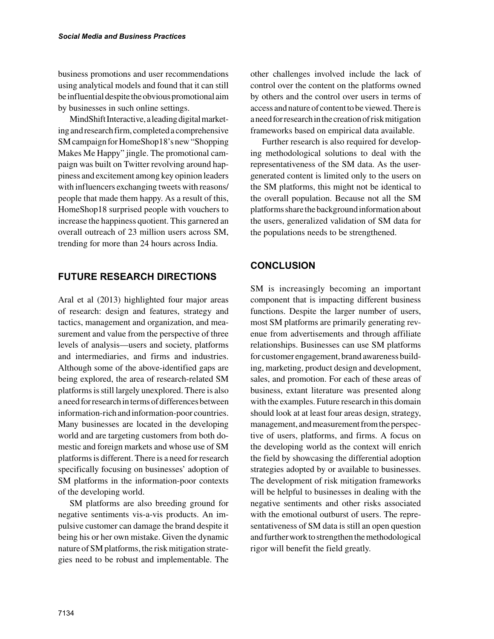business promotions and user recommendations using analytical models and found that it can still be influential despite the obvious promotional aim by businesses in such online settings.

MindShift Interactive, a leading digital marketing and research firm, completed a comprehensive SM campaign for HomeShop18's new "Shopping Makes Me Happy" jingle. The promotional campaign was built on Twitter revolving around happiness and excitement among key opinion leaders with influencers exchanging tweets with reasons/ people that made them happy. As a result of this, HomeShop18 surprised people with vouchers to increase the happiness quotient. This garnered an overall outreach of 23 million users across SM, trending for more than 24 hours across India.

# **FUTURE RESEARCH DIRECTIONS**

Aral et al (2013) highlighted four major areas of research: design and features, strategy and tactics, management and organization, and measurement and value from the perspective of three levels of analysis—users and society, platforms and intermediaries, and firms and industries. Although some of the above-identified gaps are being explored, the area of research-related SM platforms is still largely unexplored. There is also a need for research in terms of differences between information-rich and information-poor countries. Many businesses are located in the developing world and are targeting customers from both domestic and foreign markets and whose use of SM platforms is different. There is a need for research specifically focusing on businesses' adoption of SM platforms in the information-poor contexts of the developing world.

SM platforms are also breeding ground for negative sentiments vis-a-vis products. An impulsive customer can damage the brand despite it being his or her own mistake. Given the dynamic nature of SM platforms, the risk mitigation strategies need to be robust and implementable. The other challenges involved include the lack of control over the content on the platforms owned by others and the control over users in terms of access and nature of content to be viewed. There is a need for research in the creation of risk mitigation frameworks based on empirical data available.

Further research is also required for developing methodological solutions to deal with the representativeness of the SM data. As the usergenerated content is limited only to the users on the SM platforms, this might not be identical to the overall population. Because not all the SM platforms share the background information about the users, generalized validation of SM data for the populations needs to be strengthened.

# **CONCLUSION**

SM is increasingly becoming an important component that is impacting different business functions. Despite the larger number of users, most SM platforms are primarily generating revenue from advertisements and through affiliate relationships. Businesses can use SM platforms for customer engagement, brand awareness building, marketing, product design and development, sales, and promotion. For each of these areas of business, extant literature was presented along with the examples. Future research in this domain should look at at least four areas design, strategy, management, and measurement from the perspective of users, platforms, and firms. A focus on the developing world as the context will enrich the field by showcasing the differential adoption strategies adopted by or available to businesses. The development of risk mitigation frameworks will be helpful to businesses in dealing with the negative sentiments and other risks associated with the emotional outburst of users. The representativeness of SM data is still an open question and further work to strengthen the methodological rigor will benefit the field greatly.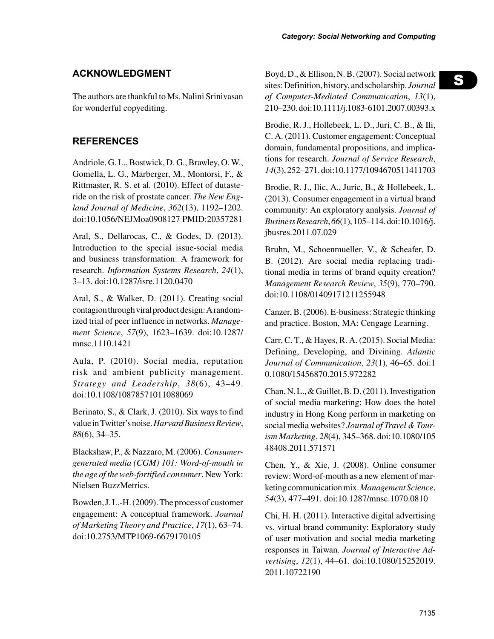# $ACKNOWLEDGMENT$

The authors are thankful to Ms. Nalini Srinivasan for wonderful copyediting.

## **REFERENCES**

Andriole, G. L., Bostwick, D. G., Brawley, O. W., Gomella, L. G., Marberger, M., Montorsi, F., & Rittmaster, R. S. et al. (2010). Effect of dutasteride on the risk of prostate cancer. *The New England Journal of Medicine*, *362*(13), 1192–1202. doi:10.1056/NEJMoa0908127 PMID:20357281

Aral, S., Dellarocas, C., & Godes, D. (2013). Introduction to the special issue-social media and business transformation: A framework for research. *Information Systems Research*, *24*(1), 3–13. doi:10.1287/isre.1120.0470

Aral, S., & Walker, D. (2011). Creating social contagion through viral product design: A randomized trial of peer influence in networks. *Management Science*, *57*(9), 1623–1639. doi:10.1287/ mnsc.1110.1421

Aula, P. (2010). Social media, reputation risk and ambient publicity management. *Strategy and Leadership*, *38*(6), 43–49. doi:10.1108/10878571011088069

Berinato, S., & Clark, J. (2010). Six ways to find value in Twitter's noise. *Harvard Business Review*, *88*(6), 34–35.

Blackshaw, P., & Nazzaro, M. (2006). *Consumergenerated media (CGM) 101: Word-of-mouth in the age of the web-fortified consumer*. New York: Nielsen BuzzMetrics.

Bowden, J. L.-H. (2009). The process of customer engagement: A conceptual framework. *Journal of Marketing Theory and Practice*, *17*(1), 63–74. doi:10.2753/MTP1069-6679170105

Boyd, D., & Ellison, N. B. (2007). Social network sites: Definition, history, and scholarship. *Journal of Computer-Mediated Communication*, *13*(1), 210–230. doi:10.1111/j.1083-6101.2007.00393.x

Brodie, R. J., Hollebeek, L. D., Juri, C. B., & Ili, C. A. (2011). Customer engagement: Conceptual domain, fundamental propositions, and implications for research. *Journal of Service Research*, *14*(3), 252–271. doi:10.1177/1094670511411703

Brodie, R. J., Ilic, A., Juric, B., & Hollebeek, L. (2013). Consumer engagement in a virtual brand community: An exploratory analysis. *Journal of Business Research*, *66*(1), 105–114. doi:10.1016/j. jbusres.2011.07.029

Bruhn, M., Schoenmueller, V., & Scheafer, D. B. (2012). Are social media replacing traditional media in terms of brand equity creation? *Management Research Review*, *35*(9), 770–790. doi:10.1108/01409171211255948

Canzer, B. (2006). E-business: Strategic thinking and practice. Boston, MA: Cengage Learning.

Carr, C. T., & Hayes, R. A. (2015). Social Media: Defining, Developing, and Divining. *Atlantic Journal of Communication*, *23*(1), 46–65. doi:1 0.1080/15456870.2015.972282

Chan, N. L., & Guillet, B. D. (2011). Investigation of social media marketing: How does the hotel industry in Hong Kong perform in marketing on social media websites? *Journal of Travel & Tourism Marketing*, *28*(4), 345–368. doi:10.1080/105 48408.2011.571571

Chen, Y., & Xie, J. (2008). Online consumer review: Word-of-mouth as a new element of marketing communication mix. *Management Science*, *54*(3), 477–491. doi:10.1287/mnsc.1070.0810

Chi, H. H. (2011). Interactive digital advertising vs. virtual brand community: Exploratory study of user motivation and social media marketing responses in Taiwan. *Journal of Interactive Advertising*, *12*(1), 44–61. doi:10.1080/15252019. 2011.10722190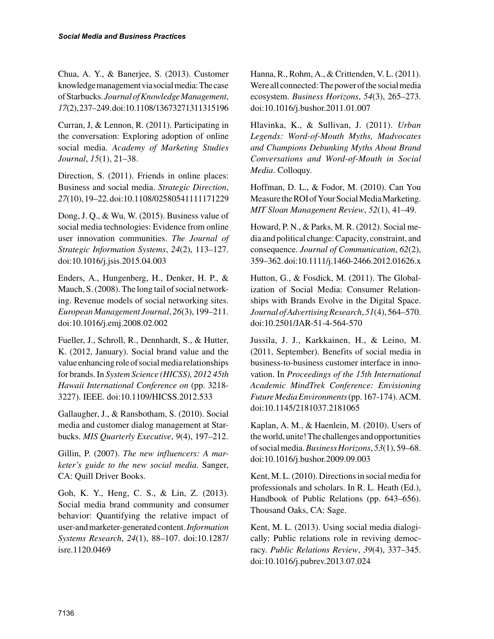Chua, A. Y., & Banerjee, S. (2013). Customer knowledge management via social media: The case of Starbucks. *Journal of Knowledge Management*, *17*(2), 237–249. doi:10.1108/13673271311315196

Curran, J, & Lennon, R. (2011). Participating in the conversation: Exploring adoption of online social media. *Academy of Marketing Studies Journal*, *15*(1), 21–38.

Direction, S. (2011). Friends in online places: Business and social media. *Strategic Direction*, *27*(10), 19–22. doi:10.1108/02580541111171229

Dong, J. Q., & Wu, W. (2015). Business value of social media technologies: Evidence from online user innovation communities. *The Journal of Strategic Information Systems*, *24*(2), 113–127. doi:10.1016/j.jsis.2015.04.003

Enders, A., Hungenberg, H., Denker, H. P., & Mauch, S. (2008). The long tail of social networking. Revenue models of social networking sites. *European Management Journal*, *26*(3), 199–211. doi:10.1016/j.emj.2008.02.002

Fueller, J., Schroll, R., Dennhardt, S., & Hutter, K. (2012, January). Social brand value and the value enhancing role of social media relationships for brands. In *System Science (HICSS), 2012 45th Hawaii International Conference on* (pp. 3218- 3227). IEEE. doi:10.1109/HICSS.2012.533

Gallaugher, J., & Ransbotham, S. (2010). Social media and customer dialog management at Starbucks. *MIS Quarterly Executive*, *9*(4), 197–212.

Gillin, P. (2007). *The new influencers: A marketer's guide to the new social media*. Sanger, CA: Quill Driver Books.

Goh, K. Y., Heng, C. S., & Lin, Z. (2013). Social media brand community and consumer behavior: Quantifying the relative impact of user-and marketer-generated content. *Information Systems Research*, *24*(1), 88–107. doi:10.1287/ isre.1120.0469

Hanna, R., Rohm, A., & Crittenden, V. L. (2011). Were all connected: The power of the social media ecosystem. *Business Horizons*, *54*(3), 265–273. doi:10.1016/j.bushor.2011.01.007

Hlavinka, K., & Sullivan, J. (2011). *Urban Legends: Word-of-Mouth Myths, Madvocates and Champions Debunking Myths About Brand Conversations and Word-of-Mouth in Social Media*. Colloquy.

Hoffman, D. L., & Fodor, M. (2010). Can You Measure the ROI of Your Social Media Marketing. *MIT Sloan Management Review*, *52*(1), 41–49.

Howard, P. N., & Parks, M. R. (2012). Social media and political change: Capacity, constraint, and consequence. *Journal of Communication*, *62*(2), 359–362. doi:10.1111/j.1460-2466.2012.01626.x

Hutton, G., & Fosdick, M. (2011). The Globalization of Social Media: Consumer Relationships with Brands Evolve in the Digital Space. *Journal of Advertising Research*, *51*(4), 564–570. doi:10.2501/JAR-51-4-564-570

Jussila, J. J., Karkkainen, H., & Leino, M. (2011, September). Benefits of social media in business-to-business customer interface in innovation. In *Proceedings of the 15th International Academic MindTrek Conference: Envisioning Future Media Environments* (pp. 167-174). ACM. doi:10.1145/2181037.2181065

Kaplan, A. M., & Haenlein, M. (2010). Users of the world, unite! The challenges and opportunities of social media. *Business Horizons*, *53*(1), 59–68. doi:10.1016/j.bushor.2009.09.003

Kent, M. L. (2010). Directions in social media for professionals and scholars. In R. L. Heath (Ed.), Handbook of Public Relations (pp. 643–656). Thousand Oaks, CA: Sage.

Kent, M. L. (2013). Using social media dialogically: Public relations role in reviving democracy. *Public Relations Review*, *39*(4), 337–345. doi:10.1016/j.pubrev.2013.07.024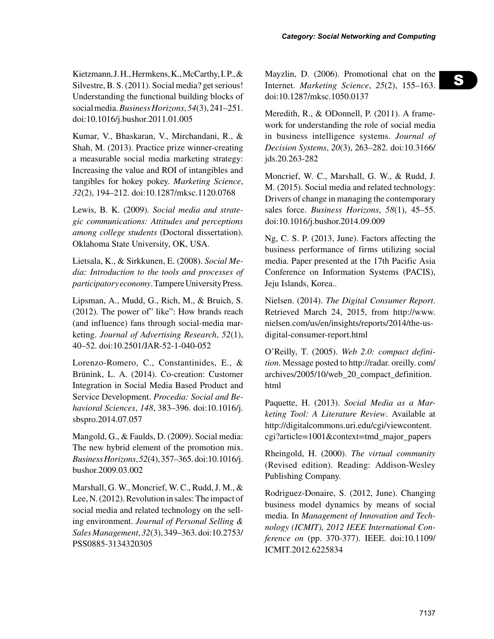Kietzmann, J. H., Hermkens, K., McCarthy, I. P., & Silvestre, B. S. (2011). Social media? get serious! Understanding the functional building blocks of social media. *Business Horizons*, *54*(3), 241–251. doi:10.1016/j.bushor.2011.01.005

Kumar, V., Bhaskaran, V., Mirchandani, R., & Shah, M. (2013). Practice prize winner-creating a measurable social media marketing strategy: Increasing the value and ROI of intangibles and tangibles for hokey pokey. *Marketing Science*, *32*(2), 194–212. doi:10.1287/mksc.1120.0768

Lewis, B. K. (2009). *Social media and strategic communications: Attitudes and perceptions among college students* (Doctoral dissertation). Oklahoma State University, OK, USA.

Lietsala, K., & Sirkkunen, E. (2008). *Social Media: Introduction to the tools and processes of participatory economy*. Tampere University Press.

Lipsman, A., Mudd, G., Rich, M., & Bruich, S. (2012). The power of" like": How brands reach (and influence) fans through social-media marketing. *Journal of Advertising Research*, *52*(1), 40–52. doi:10.2501/JAR-52-1-040-052

Lorenzo-Romero, C., Constantinides, E., & Brünink, L. A. (2014). Co-creation: Customer Integration in Social Media Based Product and Service Development. *Procedia: Social and Behavioral Sciences*, *148*, 383–396. doi:10.1016/j. sbspro.2014.07.057

Mangold, G., & Faulds, D. (2009). Social media: The new hybrid element of the promotion mix. *Business Horizons*, *52*(4), 357–365. doi:10.1016/j. bushor.2009.03.002

Marshall, G. W., Moncrief, W. C., Rudd, J. M., & Lee, N. (2012). Revolution in sales: The impact of social media and related technology on the selling environment. *Journal of Personal Selling & Sales Management*, *32*(3), 349–363. doi:10.2753/ PSS0885-3134320305

Mayzlin, D. (2006). Promotional chat on the Internet. *Marketing Science*, *25*(2), 155–163. doi:10.1287/mksc.1050.0137

Meredith, R., & ODonnell, P. (2011). A framework for understanding the role of social media in business intelligence systems. *Journal of Decision Systems*, *20*(3), 263–282. doi:10.3166/ jds.20.263-282

Moncrief, W. C., Marshall, G. W., & Rudd, J. M. (2015). Social media and related technology: Drivers of change in managing the contemporary sales force. *Business Horizons*, *58*(1), 45–55. doi:10.1016/j.bushor.2014.09.009

Ng, C. S. P. (2013, June). Factors affecting the business performance of firms utilizing social media. Paper presented at the 17th Pacific Asia Conference on Information Systems (PACIS), Jeju Islands, Korea..

Nielsen. (2014). *The Digital Consumer Report*. Retrieved March 24, 2015, from http://www. nielsen.com/us/en/insights/reports/2014/the-usdigital-consumer-report.html

O'Reilly, T. (2005). *Web 2.0: compact definition.* Message posted to http://radar. oreilly. com/ archives/2005/10/web\_20\_compact\_definition. html

Paquette, H. (2013). *Social Media as a Marketing Tool: A Literature Review*. Available at http://digitalcommons.uri.edu/cgi/viewcontent. cgi?article=1001&context=tmd\_major\_papers

Rheingold, H. (2000). *The virtual community* (Revised edition). Reading: Addison-Wesley Publishing Company.

Rodriguez-Donaire, S. (2012, June). Changing business model dynamics by means of social media. In *Management of Innovation and Technology (ICMIT), 2012 IEEE International Conference on* (pp. 370-377). IEEE. doi:10.1109/ ICMIT.2012.6225834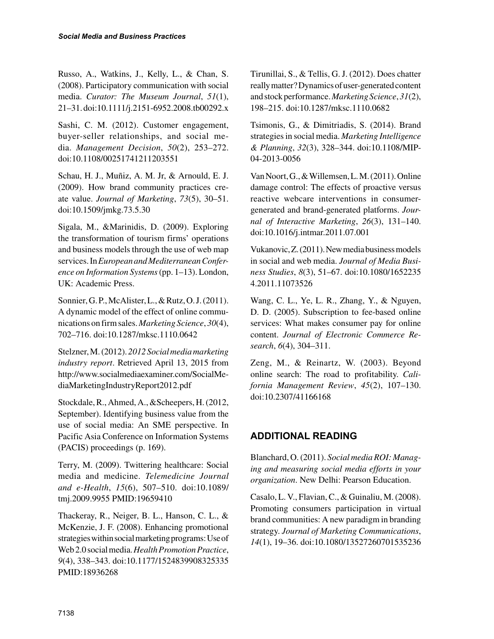Russo, A., Watkins, J., Kelly, L., & Chan, S. (2008). Participatory communication with social media. *Curator: The Museum Journal*, *51*(1), 21–31. doi:10.1111/j.2151-6952.2008.tb00292.x

Sashi, C. M. (2012). Customer engagement, buyer-seller relationships, and social media. *Management Decision*, *50*(2), 253–272. doi:10.1108/00251741211203551

Schau, H. J., Muñiz, A. M. Jr, & Arnould, E. J. (2009). How brand community practices create value. *Journal of Marketing*, *73*(5), 30–51. doi:10.1509/jmkg.73.5.30

Sigala, M., &Marinidis, D. (2009). Exploring the transformation of tourism firms' operations and business models through the use of web map services. In *European and Mediterranean Conference on Information Systems* (pp. 1–13). London, UK: Academic Press.

Sonnier, G. P., McAlister, L., & Rutz, O. J. (2011). A dynamic model of the effect of online communications on firm sales. *Marketing Science*, *30*(4), 702–716. doi:10.1287/mksc.1110.0642

Stelzner, M. (2012). *2012 Social media marketing industry report*. Retrieved April 13, 2015 from http://www.socialmediaexaminer.com/SocialMediaMarketingIndustryReport2012.pdf

Stockdale, R., Ahmed, A., &Scheepers, H. (2012, September). Identifying business value from the use of social media: An SME perspective. In Pacific Asia Conference on Information Systems (PACIS) proceedings (p. 169).

Terry, M. (2009). Twittering healthcare: Social media and medicine. *Telemedicine Journal and e-Health*, *15*(6), 507–510. doi:10.1089/ tmj.2009.9955 PMID:19659410

Thackeray, R., Neiger, B. L., Hanson, C. L., & McKenzie, J. F. (2008). Enhancing promotional strategies within social marketing programs: Use of Web 2.0 social media. *Health Promotion Practice*, *9*(4), 338–343. doi:10.1177/1524839908325335 PMID:18936268

Tirunillai, S., & Tellis, G. J. (2012). Does chatter really matter? Dynamics of user-generated content and stock performance. *Marketing Science*, *31*(2), 198–215. doi:10.1287/mksc.1110.0682

Tsimonis, G., & Dimitriadis, S. (2014). Brand strategies in social media. *Marketing Intelligence & Planning*, *32*(3), 328–344. doi:10.1108/MIP-04-2013-0056

Van Noort, G., & Willemsen, L. M. (2011). Online damage control: The effects of proactive versus reactive webcare interventions in consumergenerated and brand-generated platforms. *Journal of Interactive Marketing*, *26*(3), 131–140. doi:10.1016/j.intmar.2011.07.001

Vukanovic, Z. (2011). New media business models in social and web media. *Journal of Media Business Studies*, *8*(3), 51–67. doi:10.1080/1652235 4.2011.11073526

Wang, C. L., Ye, L. R., Zhang, Y., & Nguyen, D. D. (2005). Subscription to fee-based online services: What makes consumer pay for online content. *Journal of Electronic Commerce Research*, *6*(4), 304–311.

Zeng, M., & Reinartz, W. (2003). Beyond online search: The road to profitability. *California Management Review*, *45*(2), 107–130. doi:10.2307/41166168

# **ADDITIONAL READING**

Blanchard, O. (2011). *Social media ROI: Managing and measuring social media efforts in your organization*. New Delhi: Pearson Education.

Casalo, L. V., Flavian, C., & Guinaliu, M. (2008). Promoting consumers participation in virtual brand communities: A new paradigm in branding strategy. *Journal of Marketing Communications*, *14*(1), 19–36. doi:10.1080/13527260701535236